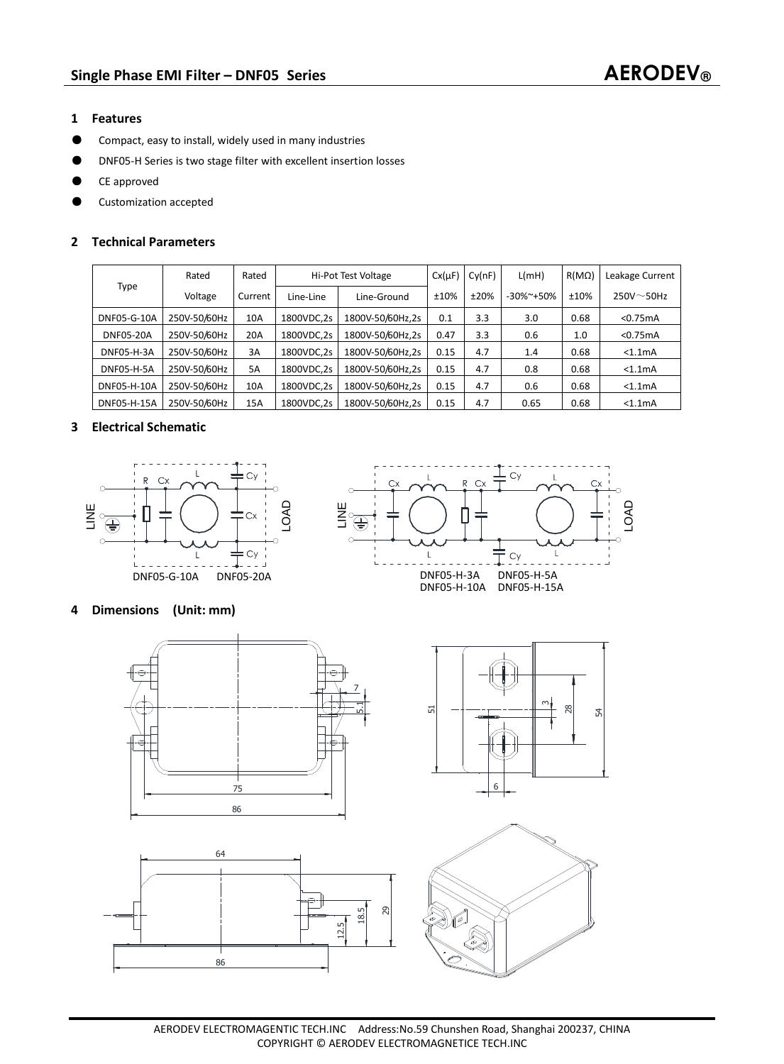- **1 Features**
- ƽ Compact, easy to install, widely used in many industries
- ƽ DNF05-H Series is two stage filter with excellent insertion losses
- ƽ CE approved
- ƽ Customization accepted

### **2 Technical Parameters**

| Type               | Rated        | Rated   | Hi-Pot Test Voltage | $Cx(\mu F)$      | Cy(nF) | L(mH) | $R(M\Omega)$     | Leakage Current |                      |
|--------------------|--------------|---------|---------------------|------------------|--------|-------|------------------|-----------------|----------------------|
|                    | Voltage      | Current | Line-Line           | Line-Ground      | ±10%   | ±20%  | $-30\%$ $-150\%$ | ±10%            | $250V \sim 50Hz$     |
| <b>DNF05-G-10A</b> | 250V-50/60Hz | 10A     | 1800VDC,2s          | 1800V-50/60Hz,2s | 0.1    | 3.3   | 3.0              | 0.68            | < 0.75mA             |
| <b>DNF05-20A</b>   | 250V-50/60Hz | 20A     | 1800VDC.2s          | 1800V-50/60Hz.2s | 0.47   | 3.3   | 0.6              | 1.0             | < 0.75mA             |
| <b>DNF05-H-3A</b>  | 250V-50/60Hz | 3A      | 1800VDC,2s          | 1800V-50/60Hz,2s | 0.15   | 4.7   | 1.4              | 0.68            | < 1.1 <sub>m</sub> A |
| DNF05-H-5A         | 250V-50/60Hz | 5A      | 1800VDC,2s          | 1800V-50/60Hz,2s | 0.15   | 4.7   | 0.8              | 0.68            | < 1.1 <sub>m</sub> A |
| DNF05-H-10A        | 250V-50/60Hz | 10A     | 1800VDC.2s          | 1800V-50/60Hz.2s | 0.15   | 4.7   | 0.6              | 0.68            | < 1.1 <sub>m</sub> A |
| DNF05-H-15A        | 250V-50/60Hz | 15A     | 1800VDC,2s          | 1800V-50/60Hz.2s | 0.15   | 4.7   | 0.65             | 0.68            | $< 1.1m$ A           |

## **3 Electrical Schematic**





# **4 Dimensions (Unit: mm)**